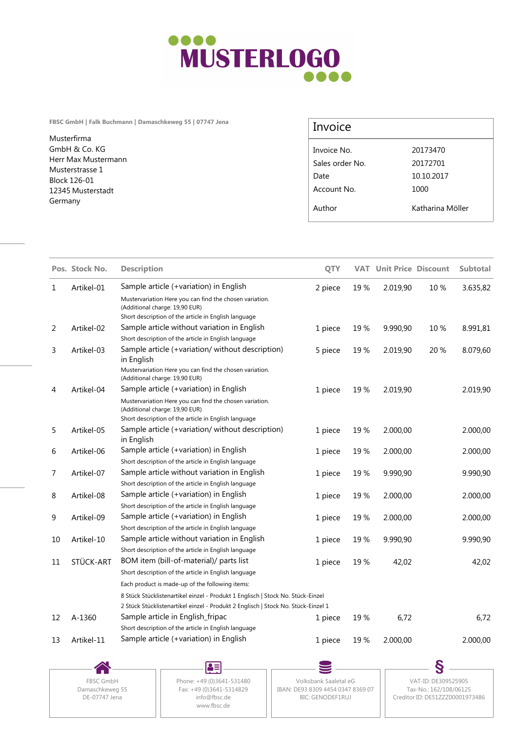

**FBSC GmbH | Falk Buchmann | Damaschkeweg 55 | 07747 Jena**

Musterfirma GmbH & Co. KG Herr Max Mustermann Musterstrasse 1 Block 126-01 12345 Musterstadt Germany

## Invoice

| Invoice No.     | 20173470         |
|-----------------|------------------|
| Sales order No. | 20172701         |
| Date            | 10.10.2017       |
| Account No.     | 1000             |
| Author          | Katharina Möller |

| 1  |            |                                                                                                                                                                      |         |      |          | <b>VAT Unit Price Discount</b> | <b>Subtotal</b> |
|----|------------|----------------------------------------------------------------------------------------------------------------------------------------------------------------------|---------|------|----------|--------------------------------|-----------------|
|    | Artikel-01 | Sample article (+variation) in English                                                                                                                               | 2 piece | 19%  | 2.019,90 | 10%                            | 3.635,82        |
|    |            | Mustervariation Here you can find the chosen variation.<br>(Additional charge: 19,90 EUR)<br>Short description of the article in English language                    |         |      |          |                                |                 |
| 2  | Artikel-02 | Sample article without variation in English                                                                                                                          | 1 piece | 19%  | 9.990,90 | 10 %                           | 8.991,81        |
|    |            | Short description of the article in English language                                                                                                                 |         |      |          |                                |                 |
| 3  | Artikel-03 | Sample article (+variation/ without description)<br>in English                                                                                                       | 5 piece | 19%  | 2.019,90 | 20 %                           | 8.079,60        |
|    |            | Mustervariation Here you can find the chosen variation.<br>(Additional charge: 19,90 EUR)                                                                            |         |      |          |                                |                 |
| 4  | Artikel-04 | Sample article (+variation) in English                                                                                                                               | 1 piece | 19 % | 2.019,90 |                                | 2.019,90        |
|    |            | Mustervariation Here you can find the chosen variation.<br>(Additional charge: 19,90 EUR)<br>Short description of the article in English language                    |         |      |          |                                |                 |
| 5  | Artikel-05 | Sample article (+variation/ without description)<br>in English                                                                                                       | 1 piece | 19%  | 2.000,00 |                                | 2.000,00        |
| 6  | Artikel-06 | Sample article (+variation) in English                                                                                                                               | 1 piece | 19%  | 2.000,00 |                                | 2.000,00        |
|    |            | Short description of the article in English language                                                                                                                 |         |      |          |                                |                 |
| 7  | Artikel-07 | Sample article without variation in English                                                                                                                          | 1 piece | 19%  | 9.990,90 |                                | 9.990,90        |
|    |            | Short description of the article in English language                                                                                                                 |         |      |          |                                |                 |
| 8  | Artikel-08 | Sample article (+variation) in English                                                                                                                               | 1 piece | 19%  | 2.000,00 |                                | 2.000,00        |
|    |            | Short description of the article in English language                                                                                                                 |         |      |          |                                |                 |
| 9  | Artikel-09 | Sample article (+variation) in English<br>Short description of the article in English language                                                                       | 1 piece | 19 % | 2.000,00 |                                | 2.000,00        |
| 10 | Artikel-10 | Sample article without variation in English<br>Short description of the article in English language                                                                  | 1 piece | 19 % | 9.990,90 |                                | 9.990,90        |
| 11 | STÜCK-ART  | BOM item (bill-of-material)/ parts list<br>Short description of the article in English language                                                                      | 1 piece | 19 % | 42,02    |                                | 42,02           |
|    |            | Each product is made-up of the following items:                                                                                                                      |         |      |          |                                |                 |
|    |            | 8 Stück Stücklistenartikel einzel - Produkt 1 Englisch   Stock No. Stück-Einzel<br>2 Stück Stücklistenartikel einzel - Produkt 2 Englisch   Stock No. Stück-Einzel 1 |         |      |          |                                |                 |
| 12 | A-1360     | Sample article in English_fripac                                                                                                                                     | 1 piece | 19 % | 6,72     |                                | 6,72            |
|    |            | Short description of the article in English language                                                                                                                 |         |      |          |                                |                 |
| 13 | Artikel-11 | Sample article (+variation) in English                                                                                                                               | 1 piece | 19 % | 2.000,00 |                                | 2.000,00        |

DE-07747 Jena

Damaschkeweg 55 www.fbsc.de

FBSC GmbH | Phone: +49 (0)3641-531480 | Volksbank Saaletal eG Fax: +49 (0)3641-5314829 || IBAN: DE93 8309 4454 0347 8369 07 || Tax-No.: 162/108/06125 info@fbsc.de BIC: GENODEF1RUJ

Volksbank Saaletal eG VAT-ID: DE309525905 Tax-No.: 162/108/06125 Creditor ID: DE51ZZZ00001973486